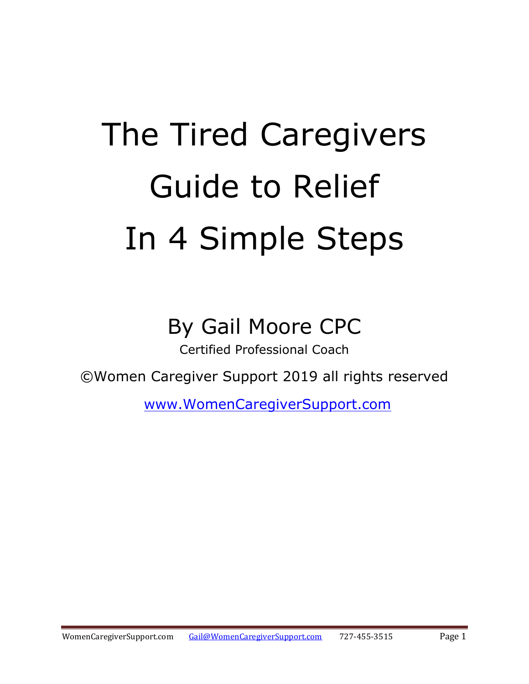# The Tired Caregivers Guide to Relief In 4 Simple Steps

## By Gail Moore CPC

Certified Professional Coach

©Women Caregiver Support 2019 all rights reserved

[www.WomenCaregiverSupport.com](http://www.womencaregiversupport.com/)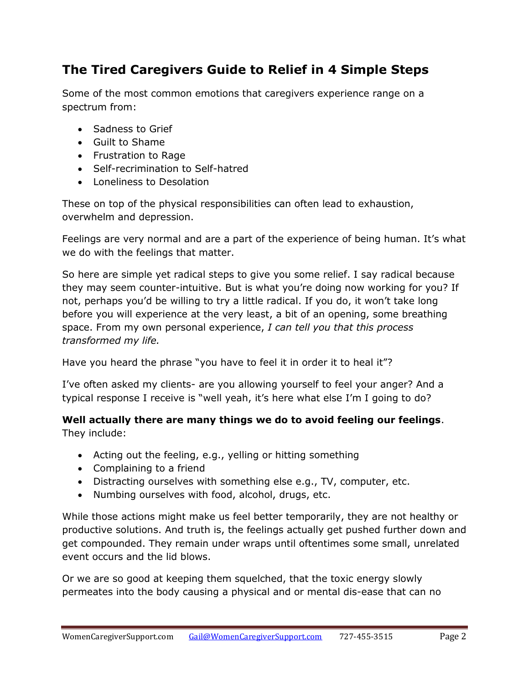#### **The Tired Caregivers Guide to Relief in 4 Simple Steps**

Some of the most common emotions that caregivers experience range on a spectrum from:

- Sadness to Grief
- Guilt to Shame
- Frustration to Rage
- Self-recrimination to Self-hatred
- Loneliness to Desolation

These on top of the physical responsibilities can often lead to exhaustion, overwhelm and depression.

Feelings are very normal and are a part of the experience of being human. It's what we do with the feelings that matter.

So here are simple yet radical steps to give you some relief. I say radical because they may seem counter-intuitive. But is what you're doing now working for you? If not, perhaps you'd be willing to try a little radical. If you do, it won't take long before you will experience at the very least, a bit of an opening, some breathing space. From my own personal experience, *I can tell you that this process transformed my life.*

Have you heard the phrase "you have to feel it in order it to heal it"?

I've often asked my clients- are you allowing yourself to feel your anger? And a typical response I receive is "well yeah, it's here what else I'm I going to do?

### **Well actually there are many things we do to avoid feeling our feelings**.

They include:

- Acting out the feeling, e.g., yelling or hitting something
- Complaining to a friend
- Distracting ourselves with something else e.g., TV, computer, etc.
- Numbing ourselves with food, alcohol, drugs, etc.

While those actions might make us feel better temporarily, they are not healthy or productive solutions. And truth is, the feelings actually get pushed further down and get compounded. They remain under wraps until oftentimes some small, unrelated event occurs and the lid blows.

Or we are so good at keeping them squelched, that the toxic energy slowly permeates into the body causing a physical and or mental dis-ease that can no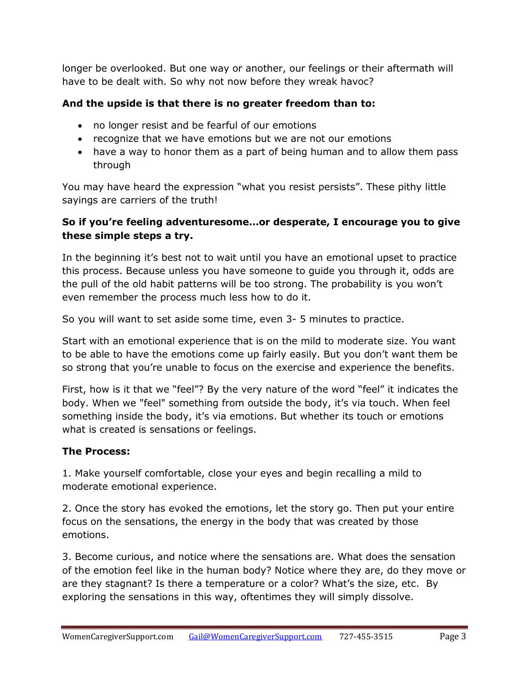longer be overlooked. But one way or another, our feelings or their aftermath will have to be dealt with. So why not now before they wreak havoc?

#### **And the upside is that there is no greater freedom than to:**

- no longer resist and be fearful of our emotions
- recognize that we have emotions but we are not our emotions
- have a way to honor them as a part of being human and to allow them pass through

You may have heard the expression "what you resist persists". These pithy little sayings are carriers of the truth!

#### **So if you're feeling adventuresome…or desperate, I encourage you to give these simple steps a try.**

In the beginning it's best not to wait until you have an emotional upset to practice this process. Because unless you have someone to guide you through it, odds are the pull of the old habit patterns will be too strong. The probability is you won't even remember the process much less how to do it.

So you will want to set aside some time, even 3- 5 minutes to practice.

Start with an emotional experience that is on the mild to moderate size. You want to be able to have the emotions come up fairly easily. But you don't want them be so strong that you're unable to focus on the exercise and experience the benefits.

First, how is it that we "feel"? By the very nature of the word "feel" it indicates the body. When we "feel" something from outside the body, it's via touch. When feel something inside the body, it's via emotions. But whether its touch or emotions what is created is sensations or feelings.

#### **The Process:**

1. Make yourself comfortable, close your eyes and begin recalling a mild to moderate emotional experience.

2. Once the story has evoked the emotions, let the story go. Then put your entire focus on the sensations, the energy in the body that was created by those emotions.

3. Become curious, and notice where the sensations are. What does the sensation of the emotion feel like in the human body? Notice where they are, do they move or are they stagnant? Is there a temperature or a color? What's the size, etc. By exploring the sensations in this way, oftentimes they will simply dissolve.